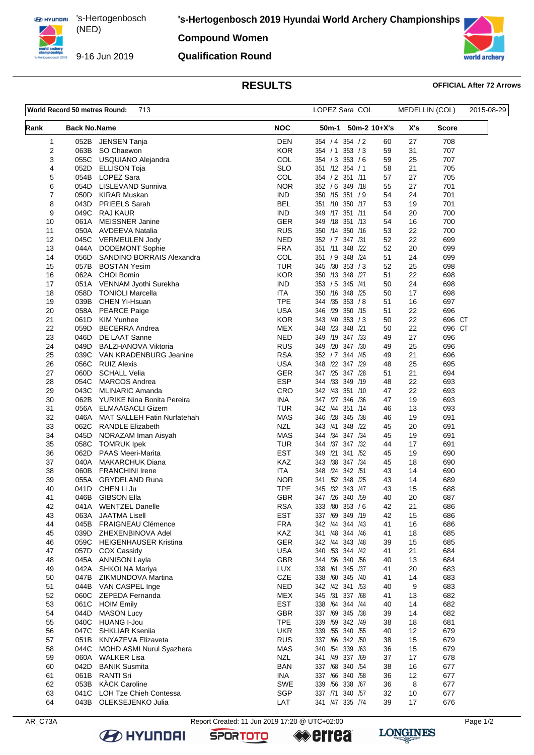**EX HYUNDAI** 's-Hertogenbosch (NED) 

9-16 Jun 2019

**'s-Hertogenbosch 2019 Hyundai World Archery Championships**

**Compound Women**

## **Qualification Round**



# **RESULTS OFFICIAL After 72 Arrows**

| World Record 50 metres Round:<br>713 |                     |                                                               | LOPEZ Sara COL           |                                       | MEDELLIN (COL) |          | 2015-08-29 |  |
|--------------------------------------|---------------------|---------------------------------------------------------------|--------------------------|---------------------------------------|----------------|----------|------------|--|
| Rank                                 | <b>Back No.Name</b> |                                                               | <b>NOC</b>               | 50m-1                                 | $50m-2$ 10+X's | X's      | Score      |  |
| 1                                    | 052B                | JENSEN Tanja                                                  | <b>DEN</b>               | 354 / 4 354 / 2                       | 60             | 27       | 708        |  |
| $\overline{2}$                       | 063B                | SO Chaewon                                                    | <b>KOR</b>               | 353 / 3<br>354 / 1                    | 59             | 31       | 707        |  |
| 3                                    | 055C                | USQUIANO Alejandra                                            | COL                      | 354 / 3 353 / 6                       | 59             | 25       | 707        |  |
| 4                                    | 052D                | <b>ELLISON Toja</b>                                           | <b>SLO</b>               | 351 /12 354 / 1                       | 58             | 21       | 705        |  |
| 5                                    | 054B                | <b>LOPEZ Sara</b>                                             | COL                      | 354 / 2 351 /11                       | 57             | 27       | 705        |  |
| 6<br>7                               | 054D<br>050D        | LISLEVAND Sunniva<br>KIRAR Muskan                             | <b>NOR</b><br><b>IND</b> | 352 / 6 349 / 18<br>350 /15 351 / 9   | 55<br>54       | 27<br>24 | 701<br>701 |  |
| 8                                    | 043D                | PRIEELS Sarah                                                 | <b>BEL</b>               | 351 /10<br>350 /17                    | 53             | 19       | 701        |  |
| 9                                    | 049C                | <b>RAJ KAUR</b>                                               | <b>IND</b>               | 349 /17 351 /11                       | 54             | 20       | 700        |  |
| 10                                   | 061A                | <b>MEISSNER Janine</b>                                        | <b>GER</b>               | 349 /18<br>351 /13                    | 54             | 16       | 700        |  |
| 11                                   | 050A                | <b>AVDEEVA Natalia</b>                                        | <b>RUS</b>               | 350 /14<br>350 /16                    | 53             | 22       | 700        |  |
| 12                                   |                     | 045C VERMEULEN Jody                                           | <b>NED</b>               | 352 / 7 347 / 31                      | 52             | 22       | 699        |  |
| 13                                   | 044A                | <b>DODEMONT Sophie</b>                                        | <b>FRA</b>               | 351 /11<br>348 /22                    | 52             | 20       | 699        |  |
| 14                                   | 056D                | SANDINO BORRAIS Alexandra                                     | COL                      | 348 /24<br>351 / 9                    | 51             | 24       | 699        |  |
| 15                                   | 057B                | <b>BOSTAN Yesim</b>                                           | <b>TUR</b>               | 345 /30 353 / 3                       | 52             | 25       | 698        |  |
| 16                                   | 062A                | <b>CHOI Bomin</b>                                             | <b>KOR</b>               | 350 /13 348 /27                       | 51             | 22       | 698        |  |
| 17                                   | 051A                | VENNAM Jyothi Surekha                                         | IND.                     | 345 /41<br>353 / 5                    | 50             | 24       | 698        |  |
| 18                                   | 058D<br>039B        | <b>TONIOLI Marcella</b>                                       | ITA<br><b>TPE</b>        | 350 /16 348 /25                       | 50<br>51       | 17       | 698        |  |
| 19<br>20                             | 058A                | CHEN Yi-Hsuan<br><b>PEARCE Paige</b>                          | <b>USA</b>               | 344 /35 353 / 8<br>346 /29<br>350 /15 | 51             | 16<br>22 | 697<br>696 |  |
| 21                                   | 061D                | <b>KIM Yunhee</b>                                             | <b>KOR</b>               | 353 / 3<br>343 /40                    | 50             | 22       | 696 CT     |  |
| 22                                   | 059D                | <b>BECERRA Andrea</b>                                         | <b>MEX</b>               | 348 /23 348 /21                       | 50             | 22       | 696 CT     |  |
| 23                                   | 046D                | DE LAAT Sanne                                                 | <b>NED</b>               | 347 /33<br>349 /19                    | 49             | 27       | 696        |  |
| 24                                   | 049D                | <b>BALZHANOVA Viktoria</b>                                    | <b>RUS</b>               | 349 /20 347 /30                       | 49             | 25       | 696        |  |
| 25                                   | 039C                | VAN KRADENBURG Jeanine                                        | <b>RSA</b>               | 352 / 7<br>344 / 45                   | 49             | 21       | 696        |  |
| 26                                   | 056C                | <b>RUIZ Alexis</b>                                            | <b>USA</b>               | 348 /22 347 /29                       | 48             | 25       | 695        |  |
| 27                                   | 060D                | <b>SCHALL Velia</b>                                           | <b>GER</b>               | 347 /25 347 /28                       | 51             | 21       | 694        |  |
| 28                                   | 054C                | <b>MARCOS Andrea</b>                                          | <b>ESP</b>               | 344 /33 349 /19                       | 48             | 22       | 693        |  |
| 29                                   | 043C                | <b>MLINARIC Amanda</b>                                        | CRO                      | 342 /43 351 /10                       | 47             | 22       | 693        |  |
| 30                                   | 062B                | YURIKE Nina Bonita Pereira                                    | <b>INA</b>               | 347 /27 346 /36                       | 47             | 19       | 693        |  |
| 31                                   | 056A                | <b>ELMAAGACLI Gizem</b>                                       | TUR<br><b>MAS</b>        | 342 /44<br>351 /14<br>346 /28 345 /38 | 46<br>46       | 13       | 693        |  |
| 32<br>33                             | 046A<br>062C        | <b>MAT SALLEH Fatin Nurfatehah</b><br><b>RANDLE Elizabeth</b> | <b>NZL</b>               | 343 /41<br>348 /22                    | 45             | 19<br>20 | 691<br>691 |  |
| 34                                   | 045D                | NORAZAM Iman Aisyah                                           | <b>MAS</b>               | 344 / 34<br>347 /34                   | 45             | 19       | 691        |  |
| 35                                   | 058C                | <b>TOMRUK Ipek</b>                                            | <b>TUR</b>               | 344 /37 347 /32                       | 44             | 17       | 691        |  |
| 36                                   | 062D                | <b>PAAS Meeri-Marita</b>                                      | <b>EST</b>               | 349 /21 341 /52                       | 45             | 19       | 690        |  |
| 37                                   | 040A                | <b>MAKARCHUK Diana</b>                                        | KAZ                      | 343 /38<br>347 /34                    | 45             | 18       | 690        |  |
| 38                                   | 060B                | <b>FRANCHINI Irene</b>                                        | <b>ITA</b>               | 348 /24 342 /51                       | 43             | 14       | 690        |  |
| 39                                   | 055A                | <b>GRYDELAND Runa</b>                                         | <b>NOR</b>               | 341 /52 348 /25                       | 43             | 14       | 689        |  |
| 40                                   | 041D                | CHEN Li Ju                                                    | <b>TPE</b>               | /32<br>343 /47<br>345                 | 43             | 15       | 688        |  |
| 41                                   | 046B                | <b>GIBSON Ella</b>                                            | GBR                      | 347 /26 340 /59                       | 40             | 20       | 687        |  |
| 42                                   | 041A                | <b>WENTZEL Danelle</b>                                        | <b>RSA</b>               | 333 /80 353 /6                        | 42             | 21       | 686        |  |
| 43<br>44                             | 063A<br>045B        | <b>JAATMA Lisell</b><br><b>FRAIGNEAU Clémence</b>             | <b>EST</b><br><b>FRA</b> | 337 /69 349 /19<br>342 /44 344 /43    | 42<br>41       | 15<br>16 | 686<br>686 |  |
| 45                                   | 039D                | ZHEXENBINOVA Adel                                             | <b>KAZ</b>               | 341 /48 344 /46                       | 41             | 18       | 685        |  |
| 46                                   |                     | 059C HEIGENHAUSER Kristina                                    | <b>GER</b>               | 342 /44 343 /48                       | 39             | 15       | 685        |  |
| 47                                   | 057D                | <b>COX Cassidy</b>                                            | <b>USA</b>               | 340 /53 344 /42                       | 41             | 21       | 684        |  |
| 48                                   |                     | 045A ANNISON Layla                                            | GBR                      | 344 /36 340 /56                       | 40             | 13       | 684        |  |
| 49                                   | 042A                | SHKOLNA Mariya                                                | LUX                      | 338 /61 345 /37                       | 41             | 20       | 683        |  |
| 50                                   | 047B                | ZIKMUNDOVA Martina                                            | CZE                      | 338 /60 345 /40                       | 41             | 14       | 683        |  |
| 51                                   | 044B                | VAN CASPEL Inge                                               | <b>NED</b>               | 342 /42 341 /53                       | 40             | 9        | 683        |  |
| 52                                   |                     | 060C ZEPEDA Fernanda                                          | <b>MEX</b>               | 345 /31 337 /68                       | 41             | 13       | 682        |  |
| 53                                   | 061C                | <b>HOIM Emily</b>                                             | <b>EST</b>               | 338 /64 344 /44                       | 40             | 14       | 682        |  |
| 54                                   | 044D                | <b>MASON Lucy</b>                                             | <b>GBR</b>               | 337 /69 345 /38                       | 39             | 14       | 682        |  |
| 55                                   | 040C                | <b>HUANG I-Jou</b>                                            | <b>TPE</b>               | 339 /59 342 /49                       | 38             | 18       | 681        |  |
| 56<br>57                             | 047C<br>051B        | SHKLIAR Kseniia<br><b>KNYAZEVA Elizaveta</b>                  | <b>UKR</b><br><b>RUS</b> | 339 /55 340 /55<br>337 /66 342 /50    | 40<br>38       | 12<br>15 | 679<br>679 |  |
| 58                                   | 044C                | MOHD ASMI Nurul Syazhera                                      | MAS                      | 340 /54 339 /63                       | 36             | 15       | 679        |  |
| 59                                   | 060A                | <b>WALKER Lisa</b>                                            | <b>NZL</b>               | 341 /49 337 /69                       | 37             | 17       | 678        |  |
| 60                                   | 042D                | <b>BANIK Susmita</b>                                          | <b>BAN</b>               | 337 /68 340 /54                       | 38             | 16       | 677        |  |
| 61                                   | 061B                | <b>RANTI Sri</b>                                              | INA                      | 337 /66 340 /58                       | 36             | 12       | 677        |  |
| 62                                   | 053B                | <b>KÄCK Caroline</b>                                          | <b>SWE</b>               | 339 / 56 338 / 67                     | 36             | 8        | 677        |  |
| 63                                   | 041C                | LOH Tze Chieh Contessa                                        | SGP                      | 337 /71<br>340 /57                    | 32             | 10       | 677        |  |
| 64                                   |                     | 043B OLEKSEJENKO Julia                                        | LAT                      | 341 /47 335 /74                       | 39             | 17       | 676        |  |

**B** HYUNDAI

AR\_C73A Report Created: 11 Jun 2019 17:20 @ UTC+02:00

**SPORTOTO** 

**errea** 

**LONGINES**